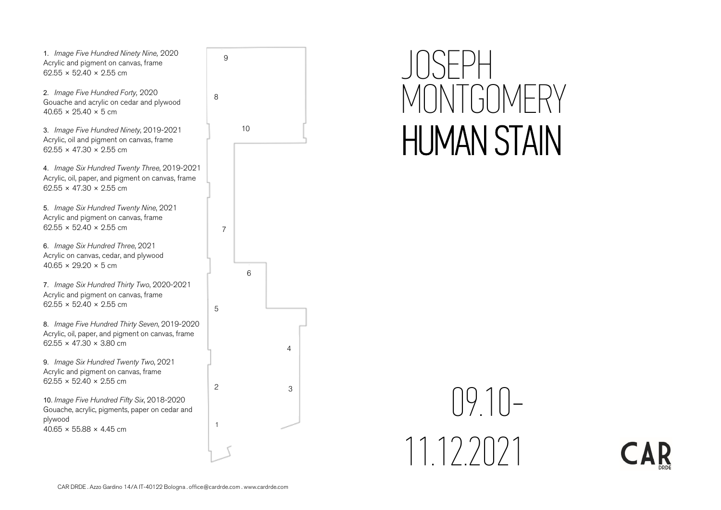1. Image Five Hundred Ninety Nine, 2020 Acrylic and pigment on canvas, frame  $62.55 \times 52.40 \times 2.55$  cm

2. Image Five Hundred Forty, 2020 Gouache and acrylic on cedar and plywood  $40.65 \times 25.40 \times 5$  cm

3. Image Five Hundred Ninety, 2019-2021 Acrylic, oil and pigment on canvas, frame  $62.55 \times 47.30 \times 2.55$  cm

4. Image Six Hundred Twenty Three, 2019-2021 Acrylic, oil, paper, and pigment on canvas, frame  $62.55 \times 47.30 \times 2.55$  cm

5. Image Six Hundred Twenty Nine, 2021 Acrylic and pigment on canvas, frame  $62.55 \times 52.40 \times 2.55$  cm

6. Image Six Hundred Three, 2021 Acrylic on canvas, cedar, and plywood  $40.65 \times 29.20 \times 5$  cm

7. Image Six Hundred Thirty Two, 2020-2021 Acrylic and pigment on canvas, frame  $62.55 \times 52.40 \times 2.55$  cm

8. Image Five Hundred Thirty Seven, 2019-2020 Acrylic, oil, paper, and pigment on canvas, frame  $62.55 \times 47.30 \times 3.80$  cm

9. Image Six Hundred Twenty Two, 2021 Acrylic and pigment on canvas, frame  $62.55 \times 52.40 \times 2.55$  cm

10. Image Five Hundred Fifty Six, 2018-2020 Gouache, acrylic, pigments, paper on cedar and plywood  $40.65 \times 55.88 \times 4.45$  cm



6

3

4

5

7

1

2

## JOSEPH MONTGOMERY HUMAN STAIN